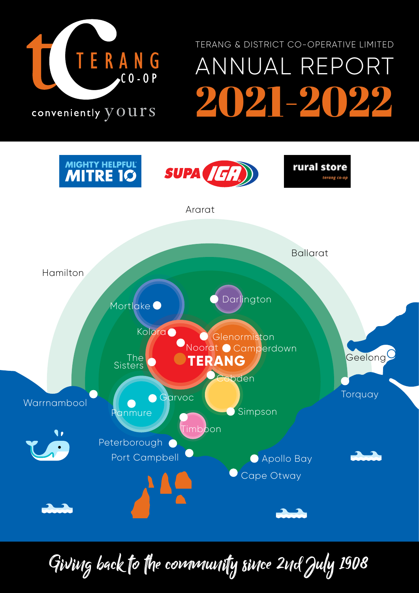

## ANNUAL REPORT 2021-2022 TERANG & DISTRICT CO-OPERATIVE LIMITED

conveniently  $\overline{y}$  OUTS



Giving back to the community since 2nd July 1908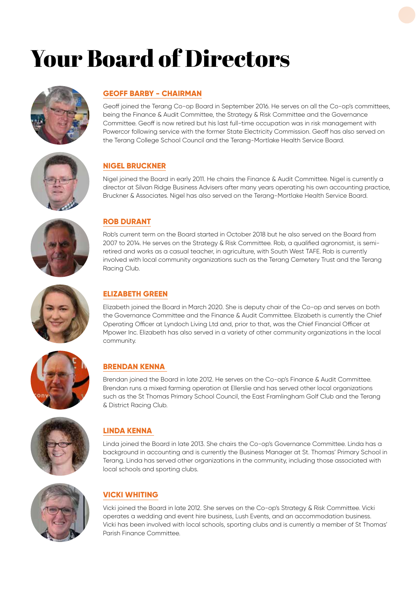## Your Board of Directors



## **GEOFF BARBY - CHAIRMAN**

Geoff joined the Terang Co-op Board in September 2016. He serves on all the Co-op's committees, being the Finance & Audit Committee, the Strategy & Risk Committee and the Governance Committee. Geoff is now retired but his last full-time occupation was in risk management with Powercor following service with the former State Electricity Commission. Geoff has also served on the Terang College School Council and the Terang-Mortlake Health Service Board.



## **NIGEL BRUCKNER**

Nigel joined the Board in early 2011. He chairs the Finance & Audit Committee. Nigel is currently a director at Silvan Ridge Business Advisers after many years operating his own accounting practice, Bruckner & Associates. Nigel has also served on the Terang-Mortlake Health Service Board.



## **ROB DURANT**

Rob's current term on the Board started in October 2018 but he also served on the Board from 2007 to 2014. He serves on the Strategy & Risk Committee. Rob, a qualified agronomist, is semiretired and works as a casual teacher, in agriculture, with South West TAFE. Rob is currently involved with local community organizations such as the Terang Cemetery Trust and the Terang Racing Club.



## **ELIZABETH GREEN**

Elizabeth joined the Board in March 2020. She is deputy chair of the Co-op and serves on both the Governance Committee and the Finance & Audit Committee. Elizabeth is currently the Chief Operating Officer at Lyndoch Living Ltd and, prior to that, was the Chief Financial Officer at Mpower Inc. Elizabeth has also served in a variety of other community organizations in the local community.



## **BRENDAN KENNA**

Brendan joined the Board in late 2012. He serves on the Co-op's Finance & Audit Committee. Brendan runs a mixed farming operation at Ellerslie and has served other local organizations such as the St Thomas Primary School Council, the East Framlingham Golf Club and the Terang & District Racing Club.



## **LINDA KENNA**

Linda joined the Board in late 2013. She chairs the Co-op's Governance Committee. Linda has a background in accounting and is currently the Business Manager at St. Thomas' Primary School in Terang. Linda has served other organizations in the community, including those associated with local schools and sporting clubs.



## **VICKI WHITING**

Vicki joined the Board in late 2012. She serves on the Co-op's Strategy & Risk Committee. Vicki operates a wedding and event hire business, Lush Events, and an accommodation business. Vicki has been involved with local schools, sporting clubs and is currently a member of St Thomas' Parish Finance Committee.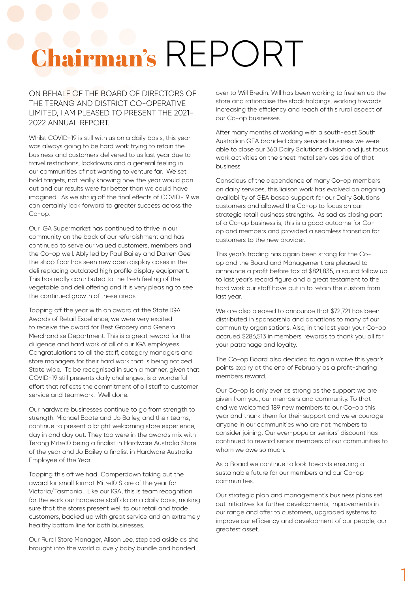# Chairman's REPORT

ON BEHALF OF THE BOARD OF DIRECTORS OF THE TERANG AND DISTRICT CO-OPERATIVE LIMITED, I AM PLEASED TO PRESENT THE 2021- 2022 ANNUAL REPORT.

Whilst COVID-19 is still with us on a daily basis, this year was always going to be hard work trying to retain the business and customers delivered to us last year due to travel restrictions, lockdowns and a general feeling in our communities of not wanting to venture far. We set bold targets, not really knowing how the year would pan out and our results were far better than we could have imagined. As we shrug off the final effects of COVID-19 we can certainly look forward to greater success across the Co-op.

Our IGA Supermarket has continued to thrive in our community on the back of our refurbishment and has continued to serve our valued customers, members and the Co-op well. Ably led by Paul Bailey and Darren Gee the shop floor has seen new open display cases in the deli replacing outdated high profile display equipment. This has really contributed to the fresh feeling of the vegetable and deli offering and it is very pleasing to see the continued growth of these areas.

Topping off the year with an award at the State IGA Awards of Retail Excellence, we were very excited to receive the award for Best Grocery and General Merchandise Department. This is a great reward for the diligence and hard work of all of our IGA employees. Congratulations to all the staff, category managers and store managers for their hard work that is being noticed State wide. To be recognised in such a manner, given that COVID-19 still presents daily challenges, is a wonderful effort that reflects the commitment of all staff to customer service and teamwork. Well done.

Our hardware businesses continue to go from strength to strength. Michael Boote and Jo Bailey, and their teams, continue to present a bright welcoming store experience, day in and day out. They too were in the awards mix with Terang Mitre10 being a finalist in Hardware Australia Store of the year and Jo Bailey a finalist in Hardware Australia Employee of the Year.

Topping this off we had Camperdown taking out the award for small format Mitre10 Store of the year for Victoria/Tasmania. Like our IGA, this is team recognition for the work our hardware staff do on a daily basis, making sure that the stores present well to our retail and trade customers, backed up with great service and an extremely healthy bottom line for both businesses.

Our Rural Store Manager, Alison Lee, stepped aside as she brought into the world a lovely baby bundle and handed

over to Will Bredin. Will has been working to freshen up the store and rationalise the stock holdings, working towards increasing the efficiency and reach of this rural aspect of our Co-op businesses.

After many months of working with a south-east South Australian GEA branded dairy services business we were able to close our 360 Dairy Solutions division and just focus work activities on the sheet metal services side of that business.

Conscious of the dependence of many Co-op members on dairy services, this liaison work has evolved an ongoing availability of GEA based support for our Dairy Solutions customers and allowed the Co-op to focus on our strategic retail business strengths. As sad as closing part of a Co-op business is, this is a good outcome for Coop and members and provided a seamless transition for customers to the new provider.

This year's trading has again been strong for the Coop and the Board and Management are pleased to announce a profit before tax of \$821,835, a sound follow up to last year's record figure and a great testament to the hard work our staff have put in to retain the custom from last year.

We are also pleased to announce that \$72,721 has been distributed in sponsorship and donations to many of our community organisations. Also, in the last year your Co-op accrued \$286,513 in members' rewards to thank you all for your patronage and loyalty.

The Co-op Board also decided to again waive this year's points expiry at the end of February as a profit-sharing members reward.

Our Co-op is only ever as strong as the support we are given from you, our members and community. To that end we welcomed 189 new members to our Co-op this year and thank them for their support and we encourage anyone in our communities who are not members to consider joining. Our ever-popular seniors' discount has continued to reward senior members of our communities to whom we owe so much.

As a Board we continue to look towards ensuring a sustainable future for our members and our Co-op communities.

Our strategic plan and management's business plans set out initiatives for further developments, improvements in our range and offer to customers, upgraded systems to improve our efficiency and development of our people, our greatest asset.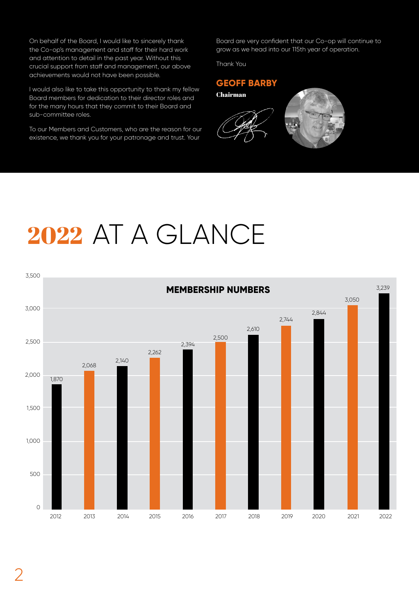On behalf of the Board, I would like to sincerely thank the Co-op's management and staff for their hard work and attention to detail in the past year. Without this crucial support from staff and management, our above achievements would not have been possible.

I would also like to take this opportunity to thank my fellow Board members for dedication to their director roles and for the many hours that they commit to their Board and sub-committee roles.

To our Members and Customers, who are the reason for our existence, we thank you for your patronage and trust. Your

Board are very confident that our Co-op will continue to grow as we head into our 115th year of operation.

Thank You

## **GEOFF BARBY**



## 2022 AT A GLANCE

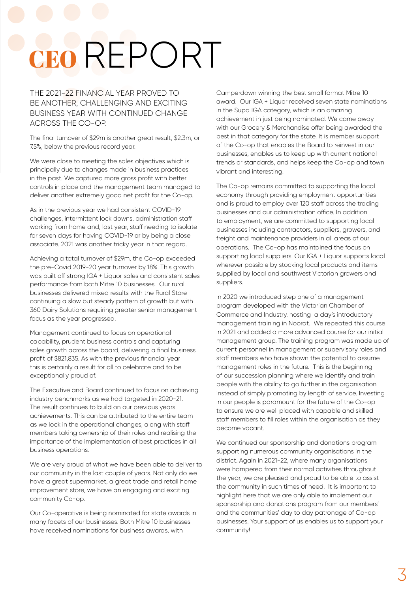# CEO REPORT

THE 2021-22 FINANCIAL YEAR PROVED TO BE ANOTHER, CHALLENGING AND EXCITING BUSINESS YEAR WITH CONTINUED CHANGE ACROSS THE CO-OP.

The final turnover of \$29m is another great result, \$2.3m, or 7.5%, below the previous record year.

We were close to meeting the sales objectives which is principally due to changes made in business practices in the past. We captured more gross profit with better controls in place and the management team managed to deliver another extremely good net profit for the Co-op.

As in the previous year we had consistent COVID-19 challenges, intermittent lock downs, administration staff working from home and, last year, staff needing to isolate for seven days for having COVID-19 or by being a close associate. 2021 was another tricky year in that regard.

Achieving a total turnover of \$29m, the Co-op exceeded the pre-Covid 2019-20 year turnover by 18%. This growth was built off strong IGA + Liquor sales and consistent sales performance from both Mitre 10 businesses. Our rural businesses delivered mixed results with the Rural Store continuing a slow but steady pattern of growth but with 360 Dairy Solutions requiring greater senior management focus as the year progressed.

Management continued to focus on operational capability, prudent business controls and capturing sales growth across the board, delivering a final business profit of \$821,835. As with the previous financial year this is certainly a result for all to celebrate and to be exceptionally proud of.

The Executive and Board continued to focus on achieving industry benchmarks as we had targeted in 2020-21. The result continues to build on our previous years achievements. This can be attributed to the entire team as we lock in the operational changes, along with staff members taking ownership of their roles and realising the importance of the implementation of best practices in all business operations.

We are very proud of what we have been able to deliver to our community in the last couple of years. Not only do we have a great supermarket, a great trade and retail home improvement store, we have an engaging and exciting community Co-op.

Our Co-operative is being nominated for state awards in many facets of our businesses. Both Mitre 10 businesses have received nominations for business awards, with

Camperdown winning the best small format Mitre 10 award. Our IGA + Liquor received seven state nominations in the Supa IGA category, which is an amazing achievement in just being nominated. We came away with our Grocery & Merchandise offer being awarded the best in that category for the state. It is member support of the Co-op that enables the Board to reinvest in our businesses, enables us to keep up with current national trends or standards, and helps keep the Co-op and town vibrant and interesting.

The Co-op remains committed to supporting the local economy through providing employment opportunities and is proud to employ over 120 staff across the trading businesses and our administration office. In addition to employment, we are committed to supporting local businesses including contractors, suppliers, growers, and freight and maintenance providers in all areas of our operations. The Co-op has maintained the focus on supporting local suppliers. Our IGA + Liquor supports local wherever possible by stocking local products and items supplied by local and southwest Victorian growers and suppliers.

In 2020 we introduced step one of a management program developed with the Victorian Chamber of Commerce and Industry, hosting a day's introductory management training in Noorat. We repeated this course in 2021 and added a more advanced course for our initial management group. The training program was made up of current personnel in management or supervisory roles and staff members who have shown the potential to assume management roles in the future. This is the beginning of our succession planning where we identify and train people with the ability to go further in the organisation instead of simply promoting by length of service. Investing in our people is paramount for the future of the Co-op to ensure we are well placed with capable and skilled staff members to fill roles within the organisation as they become vacant.

We continued our sponsorship and donations program supporting numerous community organisations in the district. Again in 2021-22, where many organisations were hampered from their normal activities throughout the year, we are pleased and proud to be able to assist the community in such times of need. It is important to highlight here that we are only able to implement our sponsorship and donations program from our members' and the communities' day to day patronage of Co-op businesses. Your support of us enables us to support your community!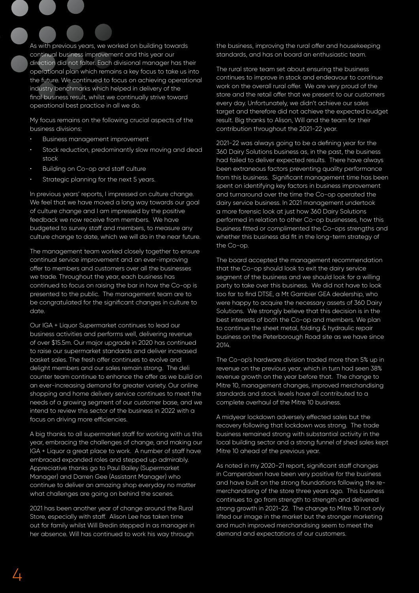As with previous years, we worked on building towards continual business improvement and this year our direction did not falter. Each divisional manager has their operational plan which remains a key focus to take us into the future. We continued to focus on achieving operational industry benchmarks which helped in delivery of the final business result, whilst we continually strive toward operational best practice in all we do.

My focus remains on the following crucial aspects of the business divisions:

- Business management improvement
- Stock reduction, predominantly slow moving and dead stock
- Building on Co-op and staff culture
- Strategic planning for the next 5 years.

In previous years' reports, I impressed on culture change. We feel that we have moved a long way towards our goal of culture change and I am impressed by the positive feedback we now receive from members. We have budgeted to survey staff and members, to measure any culture change to date, which we will do in the near future.

The management team worked closely together to ensure continual service improvement and an ever-improving offer to members and customers over all the businesses we trade. Throughout the year, each business has continued to focus on raising the bar in how the Co-op is presented to the public. The management team are to be congratulated for the significant changes in culture to date.

Our IGA + Liquor Supermarket continues to lead our business activities and performs well, delivering revenue of over \$15.5m. Our major upgrade in 2020 has continued to raise our supermarket standards and deliver increased basket sales. The fresh offer continues to evolve and delight members and our sales remain strong. The deli counter team continue to enhance the offer as we build on an ever-increasing demand for greater variety. Our online shopping and home delivery service continues to meet the needs of a growing segment of our customer base, and we intend to review this sector of the business in 2022 with a focus on driving more efficiencies.

A big thanks to all supermarket staff for working with us this year, embracing the challenges of change, and making our IGA + Liquor a great place to work. A number of staff have embraced expanded roles and stepped up admirably. Appreciative thanks go to Paul Bailey (Supermarket Manager) and Darren Gee (Assistant Manager) who continue to deliver an amazing shop everyday no matter what challenges are going on behind the scenes.

2021 has been another year of change around the Rural Store, especially with staff. Alison Lee has taken time out for family whilst Will Bredin stepped in as manager in her absence. Will has continued to work his way through

the business, improving the rural offer and housekeeping standards, and has on board an enthusiastic team.

The rural store team set about ensuring the business continues to improve in stock and endeavour to continue work on the overall rural offer. We are very proud of the store and the retail offer that we present to our customers every day. Unfortunately, we didn't achieve our sales target and therefore did not achieve the expected budget result. Big thanks to Alison, Will and the team for their contribution throughout the 2021-22 year.

2021-22 was always going to be a defining year for the 360 Dairy Solutions business as, in the past, the business had failed to deliver expected results. There have always been extraneous factors preventing quality performance from this business. Significant management time has been spent on identifying key factors in business improvement and turnaround over the time the Co-op operated the dairy service business. In 2021 management undertook a more forensic look at just how 360 Dairy Solutions performed in relation to other Co-op businesses, how this business fitted or complimented the Co-ops strengths and whether this business did fit in the long-term strategy of the Co-op.

The board accepted the management recommendation that the Co-op should look to exit the dairy service segment of the business and we should look for a willing party to take over this business. We did not have to look too far to find DTSE, a Mt Gambier GEA dealership, who were happy to acquire the necessary assets of 360 Dairy Solutions. We strongly believe that this decision is in the best interests of both the Co-op and members. We plan to continue the sheet metal, folding & hydraulic repair business on the Peterborough Road site as we have since 2014.

The Co-op's hardware division traded more than 5% up in revenue on the previous year, which in turn had seen 38% revenue growth on the year before that. The change to Mitre 10, management changes, improved merchandising standards and stock levels have all contributed to a complete overhaul of the Mitre 10 business.

A midyear lockdown adversely effected sales but the recovery following that lockdown was strong. The trade business remained strong with substantial activity in the local building sector and a strong funnel of shed sales kept Mitre 10 ahead of the previous year.

As noted in my 2020-21 report, significant staff changes in Camperdown have been very positive for the business and have built on the strong foundations following the remerchandising of the store three years ago. This business continues to go from strength to strength and delivered strong growth in 2021-22. The change to Mitre 10 not only lifted our image in the market but the stronger marketing and much improved merchandising seem to meet the demand and expectations of our customers.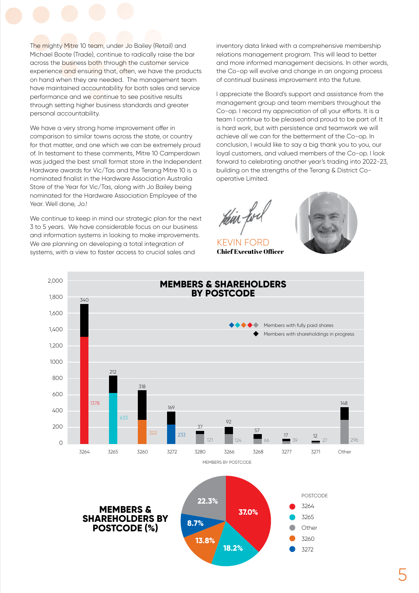The mighty Mitre 10 team, under Jo Bailey (Retail) and Michael Boote (Trade), continue to radically raise the bar across the business both through the customer service experience and ensuring that, often, we have the products on hand when they are needed. The management team have maintained accountability for both sales and service performance and we continue to see positive results through setting higher business standards and areater personal accountability.

We have a very strong home improvement offer in comparison to similar towns across the state, or country for that matter, and one which we can be extremely proud of. In testament to these comments, Mitre 10 Camperdown was judged the best small format store in the Independent Hardware awards for Vic/Tas and the Terang Mitre 10 is a nominated finalist in the Hardware Association Australia Store of the Year for Vic/Tas, along with Jo Bailey being nominated for the Hardware Association Employee of the Year. Well done, Jo.!

We continue to keep in mind our strategic plan for the next 3 to 5 years. We have considerable focus on our business and information systems in looking to make improvements. We are planning on developing a total integration of systems, with a view to faster access to crucial sales and

inventory data linked with a comprehensive membership relations management program. This will lead to better and more informed management decisions. In other words, the Co-op will evolve and change in an ongoing process of continual business improvement into the future.

I appreciate the Board's support and assistance from the management group and team members throughout the Co-op. I record my appreciation of all your efforts. It is a team I continue to be pleased and proud to be part of. It is hard work, but with persistence and teamwork we will achieve all we can for the betterment of the Co-op. In conclusion, I would like to say a big thank you to you, our loyal customers, and valued members of the Co-op. I look forward to celebrating another year's trading into 2022-23, building on the strengths of the Terang & District Cooperative Limited.

KEVIN FORD Chief Executive Officer



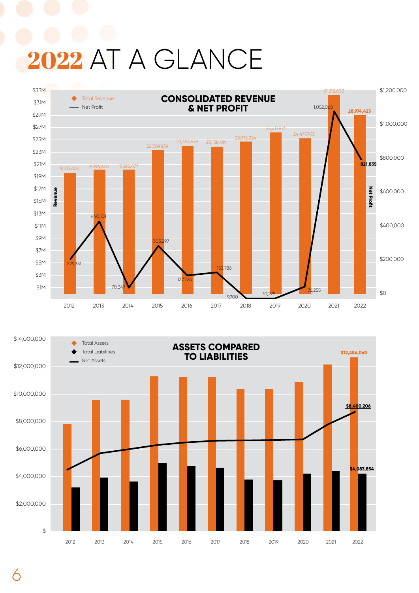# 2022 AT A GLANCE



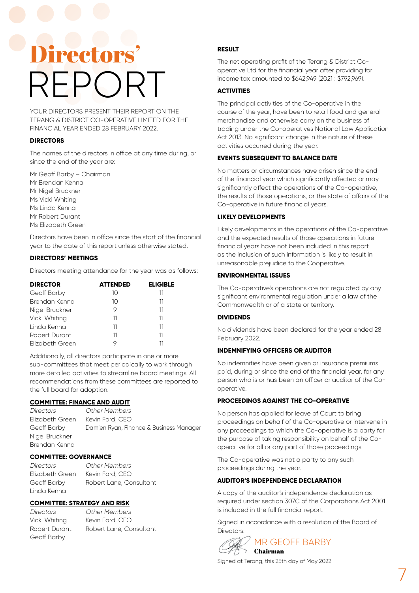# Directors' REPORT

YOUR DIRECTORS PRESENT THEIR REPORT ON THE TERANG & DISTRICT CO-OPERATIVE LIMITED FOR THE FINANCIAL YEAR ENDED 28 FEBRUARY 2022.

## **DIRECTORS**

The names of the directors in office at any time during, or since the end of the year are:

Mr Geoff Barby – Chairman Mr Brendan Kenna Mr Nigel Bruckner Ms Vicki Whiting Ms Linda Kenna Mr Robert Durant Ms Elizabeth Green

Directors have been in office since the start of the financial year to the date of this report unless otherwise stated.

## **DIRECTORS' MEETINGS**

Directors meeting attendance for the year was as follows:

| <b>DIRECTOR</b> | <b>ATTENDED</b> | <b>ELIGIBLE</b> |
|-----------------|-----------------|-----------------|
| Geoff Barby     | 10              | 11              |
| Brendan Kenna   | 10              | 11              |
| Nigel Bruckner  | 9               | 11              |
| Vicki Whiting   | 11              | 11              |
| Linda Kenna     | 11              | 11              |
| Robert Durant   | 11              | 11              |
| Elizabeth Green |                 |                 |

Additionally, all directors participate in one or more sub-committees that meet periodically to work through more detailed activities to streamline board meetings. All recommendations from these committees are reported to the full board for adoption.

## **COMMITTEE: FINANCE AND AUDIT**

Directors Other Members Elizabeth Green Kevin Ford, CEO Geoff Barby Damien Ryan, Finance & Business Manager Nigel Bruckner Brendan Kenna

### **COMMITTEE: GOVERNANCE**

Directors Other Members Elizabeth Green Kevin Ford, CEO Geoff Barby Robert Lane, Consultant Linda Kenna

## **COMMITTEE: STRATEGY AND RISK**

Vicki Whiting Kevin Ford, CEO Geoff Barby

Directors Other Members Robert Durant Robert Lane, Consultant

## **RESULT**

The net operating profit of the Terang & District Cooperative Ltd for the financial year after providing for income tax amounted to \$642,949 (2021 : \$792,969).

### **ACTIVITIES**

The principal activities of the Co-operative in the course of the year, have been to retail food and general merchandise and otherwise carry on the business of trading under the Co-operatives National Law Application Act 2013. No significant change in the nature of these activities occurred during the year.

### **EVENTS SUBSEQUENT TO BALANCE DATE**

No matters or circumstances have arisen since the end of the financial year which significantly affected or may significantly affect the operations of the Co-operative, the results of those operations, or the state of affairs of the Co-operative in future financial years.

#### **LIKELY DEVELOPMENTS**

Likely developments in the operations of the Co-operative and the expected results of those operations in future financial years have not been included in this report as the inclusion of such information is likely to result in unreasonable prejudice to the Cooperative.

#### **ENVIRONMENTAL ISSUES**

The Co-operative's operations are not regulated by any significant environmental regulation under a law of the Commonwealth or of a state or territory.

## **DIVIDENDS**

No dividends have been declared for the year ended 28 February 2022.

## **INDEMNIFYING OFFICERS OR AUDITOR**

No indemnities have been given or insurance premiums paid, during or since the end of the financial year, for any person who is or has been an officer or auditor of the Cooperative.

#### **PROCEEDINGS AGAINST THE CO-OPERATIVE**

No person has applied for leave of Court to bring proceedings on behalf of the Co-operative or intervene in any proceedings to which the Co-operative is a party for the purpose of taking responsibility on behalf of the Cooperative for all or any part of those proceedings.

The Co-operative was not a party to any such proceedings during the year.

#### **AUDITOR'S INDEPENDENCE DECLARATION**

A copy of the auditor's independence declaration as required under section 307C of the Corporations Act 2001 is included in the full financial report.

Signed in accordance with a resolution of the Board of Directors:



Signed at Terang, this 25th day of May 2022.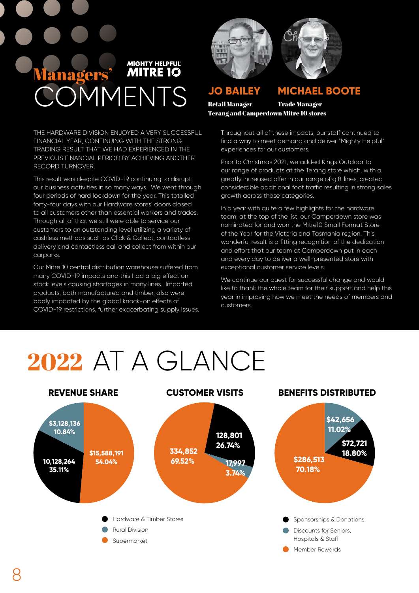

THE HARDWARE DIVISION ENJOYED A VERY SUCCESSFUL FINANCIAL YEAR, CONTINUING WITH THE STRONG TRADING RESULT THAT WE HAD EXPERIENCED IN THE PREVIOUS FINANCIAL PERIOD BY ACHIEVING ANOTHER RECORD TURNOVER.

This result was despite COVID-19 continuing to disrupt our business activities in so many ways. We went through four periods of hard lockdown for the year. This totalled forty-four days with our Hardware stores' doors closed to all customers other than essential workers and trades. Through all of that we still were able to service our customers to an outstanding level utilizing a variety of cashless methods such as Click & Collect, contactless delivery and contactless call and collect from within our carparks.

Our Mitre 10 central distribution warehouse suffered from many COVID-19 impacts and this had a big effect on stock levels causing shortages in many lines. Imported products, both manufactured and timber, also were badly impacted by the global knock-on effects of COVID-19 restrictions, further exacerbating supply issues.





**JO BAILEY**

## **MICHAEL BOOTE**

Retail Manager Terang and Camperdown Mitre 10 stores Trade Manager

> Throughout all of these impacts, our staff continued to find a way to meet demand and deliver "Mighty Helpful" experiences for our customers.

Prior to Christmas 2021, we added Kings Outdoor to our range of products at the Terang store which, with a greatly increased offer in our range of gift lines, created considerable additional foot traffic resulting in strong sales growth across those categories.

In a year with quite a few highlights for the hardware team, at the top of the list, our Camperdown store was nominated for and won the Mitre10 Small Format Store of the Year for the Victoria and Tasmania region. This wonderful result is a fitting recognition of the dedication and effort that our team at Camperdown put in each and every day to deliver a well-presented store with exceptional customer service levels.

We continue our quest for successful change and would like to thank the whole team for their support and help this year in improving how we meet the needs of members and customers.

# 2022 AT A GLANCE

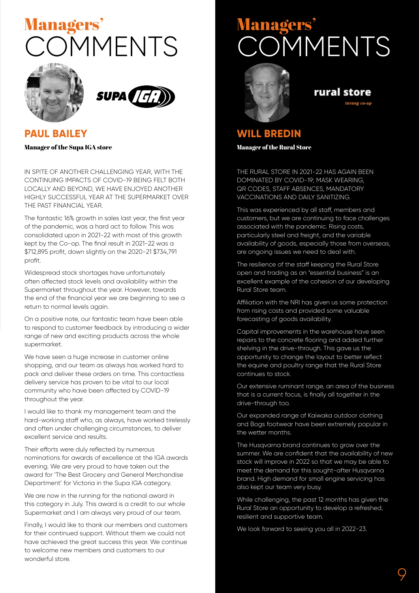## OMMENTS Managers'





## **PAUL BAILEY**

Manager of the Supa IGA store

IN SPITE OF ANOTHER CHALLENGING YEAR, WITH THE CONTINUING IMPACTS OF COVID-19 BEING FELT BOTH LOCALLY AND BEYOND, WE HAVE ENJOYED ANOTHER HIGHLY SUCCESSFUL YEAR AT THE SUPERMARKET OVER THE PAST FINANCIAL YEAR.

The fantastic 16% growth in sales last year, the first year of the pandemic, was a hard act to follow. This was consolidated upon in 2021-22 with most of this growth kept by the Co-op. The final result in 2021-22 was a \$712,895 profit, down slightly on the 2020-21 \$734,791 profit.

Widespread stock shortages have unfortunately often affected stock levels and availability within the Supermarket throughout the year. However, towards the end of the financial year we are beginning to see a return to normal levels again.

On a positive note, our fantastic team have been able to respond to customer feedback by introducing a wider range of new and exciting products across the whole supermarket.

We have seen a huge increase in customer online shopping, and our team as always has worked hard to pack and deliver these orders on time. This contactless delivery service has proven to be vital to our local community who have been affected by COVID-19 throughout the year.

I would like to thank my management team and the hard-working staff who, as always, have worked tirelessly and often under challenging circumstances, to deliver excellent service and results.

Their efforts were duly reflected by numerous nominations for awards of excellence at the IGA awards evening. We are very proud to have taken out the award for 'The Best Grocery and General Merchandise Department' for Victoria in the Supa IGA category.

We are now in the running for the national award in this category in July. This award is a credit to our whole Supermarket and I am always very proud of our team.

Finally, I would like to thank our members and customers for their continued support. Without them we could not have achieved the great success this year. We continue to welcome new members and customers to our wonderful store.

## **MMENTS Managers**



## rural store

terane co-o

## **WILL BREDIN**

Manager of the Rural Store

THE RURAL STORE IN 2021-22 HAS AGAIN BEEN DOMINATED BY COVID-19; MASK WEARING, QR CODES, STAFF ABSENCES, MANDATORY VACCINATIONS AND DAILY SANITIZING.

This was experienced by all staff, members and customers, but we are continuing to face challenges associated with the pandemic. Rising costs, particularly steel and freight, and the variable availability of goods, especially those from overseas, are ongoing issues we need to deal with.

The resilience of the staff keeping the Rural Store open and trading as an "essential business" is an excellent example of the cohesion of our developing Rural Store team.

Affiliation with the NRI has given us some protection from rising costs and provided some valuable forecasting of goods availability.

Capital improvements in the warehouse have seen repairs to the concrete flooring and added further shelving in the drive-through. This gave us the opportunity to change the layout to better reflect the equine and poultry range that the Rural Store continues to stock.

Our extensive ruminant range, an area of the business that is a current focus, is finally all together in the drive-through too.

Our expanded range of Kaiwaka outdoor clothing and Bogs footwear have been extremely popular in the wetter months.

The Husqvarna brand continues to grow over the summer. We are confident that the availability of new stock will improve in 2022 so that we may be able to meet the demand for this sought-after Husqvarna brand. High demand for small engine servicing has also kept our team very busy.

While challenging, the past 12 months has given the Rural Store an opportunity to develop a refreshed, resilient and supportive team.

We look forward to seeing you all in 2022-23.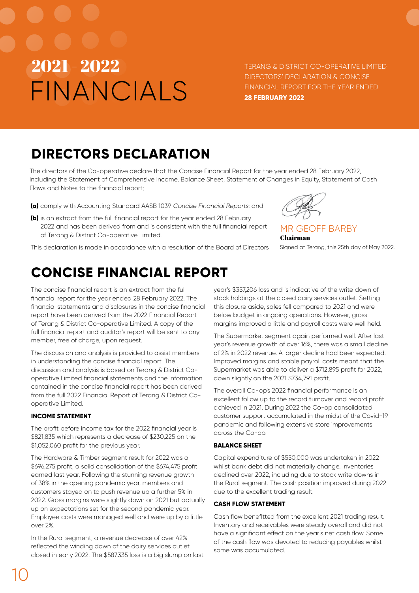TERANG & DISTRICT CO-OPERATIVE LIMITED DIRECTORS' DECLARATION & CONCISE FINANCIAL REPORT FOR THE YEAR ENDED **28 FEBRUARY 2022**

## **DIRECTORS DECLARATION**

The directors of the Co-operative declare that the Concise Financial Report for the year ended 28 February 2022, including the Statement of Comprehensive Income, Balance Sheet, Statement of Changes in Equity, Statement of Cash Flows and Notes to the financial report;

- **(a)** comply with Accounting Standard AASB 1039 Concise Financial Reports; and
- **(b)** is an extract from the full financial report for the year ended 28 February 2022 and has been derived from and is consistent with the full financial report of Terang & District Co-operative Limited.



MR GEOFF BARBY Chairman Signed at Terang, this 25th day of May 2022.

This declaration is made in accordance with a resolution of the Board of Directors

## **CONCISE FINANCIAL REPORT**

The concise financial report is an extract from the full financial report for the year ended 28 February 2022. The financial statements and disclosures in the concise financial report have been derived from the 2022 Financial Report of Terang & District Co-operative Limited. A copy of the full financial report and auditor's report will be sent to any member, free of charge, upon request.

The discussion and analysis is provided to assist members in understanding the concise financial report. The discussion and analysis is based on Terang & District Cooperative Limited financial statements and the information contained in the concise financial report has been derived from the full 2022 Financial Report of Terang & District Cooperative Limited.

## **INCOME STATEMENT**

The profit before income tax for the 2022 financial year is \$821,835 which represents a decrease of \$230,225 on the \$1,052,060 profit for the previous year.

The Hardware & Timber segment result for 2022 was a \$696,275 profit, a solid consolidation of the \$674,475 profit earned last year. Following the stunning revenue growth of 38% in the opening pandemic year, members and customers stayed on to push revenue up a further 5% in 2022. Gross margins were slightly down on 2021 but actually up on expectations set for the second pandemic year. Employee costs were managed well and were up by a little over 2%.

In the Rural segment, a revenue decrease of over 42% reflected the winding down of the dairy services outlet closed in early 2022. The \$587,335 loss is a big slump on last year's \$357,206 loss and is indicative of the write down of stock holdings at the closed dairy services outlet. Setting this closure aside, sales fell compared to 2021 and were below budget in ongoing operations. However, gross margins improved a little and payroll costs were well held.

The Supermarket segment again performed well. After last year's revenue growth of over 16%, there was a small decline of 2% in 2022 revenue. A larger decline had been expected. Improved margins and stable payroll costs meant that the Supermarket was able to deliver a \$712,895 profit for 2022, down slightly on the 2021 \$734,791 profit.

The overall Co-op's 2022 financial performance is an excellent follow up to the record turnover and record profit achieved in 2021. During 2022 the Co-op consolidated customer support accumulated in the midst of the Covid-19 pandemic and following extensive store improvements across the Co-op.

## **BALANCE SHEET**

Capital expenditure of \$550,000 was undertaken in 2022 whilst bank debt did not materially change. Inventories declined over 2022, including due to stock write downs in the Rural segment. The cash position improved during 2022 due to the excellent trading result.

## **CASH FLOW STATEMENT**

Cash flow benefitted from the excellent 2021 trading result. Inventory and receivables were steady overall and did not have a significant effect on the year's net cash flow. Some of the cash flow was devoted to reducing payables whilst some was accumulated.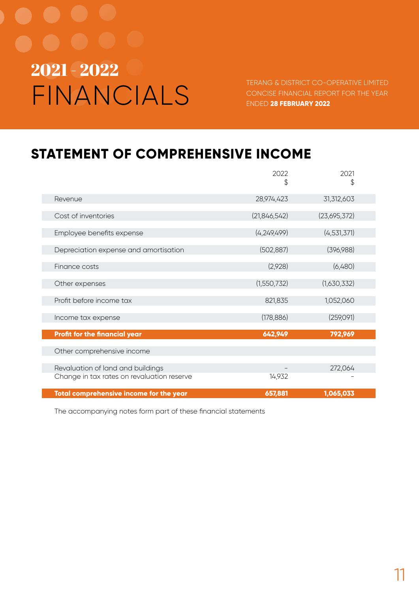TERANG & DISTRICT CO-OPERATIVE LIMITED CONCISE FINANCIAL REPORT FOR THE YEAR ENDED **28 FEBRUARY 2022**

## **STATEMENT OF COMPREHENSIVE INCOME**

|                                            | 2022<br>\$     | 2021<br>\$    |
|--------------------------------------------|----------------|---------------|
| Revenue                                    | 28,974,423     | 31,312,603    |
| Cost of inventories                        | (21, 846, 542) | (23,695,372)  |
| Employee benefits expense                  | (4,249,499)    | (4, 531, 371) |
| Depreciation expense and amortisation      | (502, 887)     | (396,988)     |
| Finance costs                              | (2,928)        | (6,480)       |
| Other expenses                             | (1,550,732)    | (1,630,332)   |
| Profit before income tax                   | 821,835        | 1,052,060     |
| Income tax expense                         | (178, 886)     | (259,091)     |
| <b>Profit for the financial year</b>       | 642,949        | 792,969       |
| Other comprehensive income                 |                |               |
| Revaluation of land and buildings          |                | 272,064       |
| Change in tax rates on revaluation reserve | 14,932         |               |
| Total comprehensive income for the year    | 657,881        | 1,065,033     |

The accompanying notes form part of these financial statements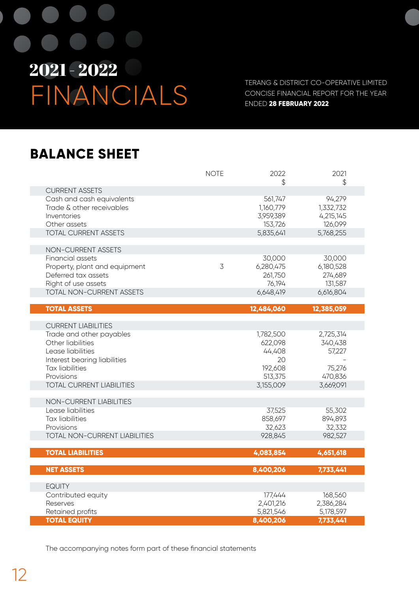TERANG & DISTRICT CO-OPERATIVE LIMITED CONCISE FINANCIAL REPORT FOR THE YEAR ENDED **28 FEBRUARY 2022**

## **BALANCE SHEET**

|                                                                                                                                                                                                              | <b>NOTE</b> | 2022<br>\$                                                              | 2021<br>\$                                                       |
|--------------------------------------------------------------------------------------------------------------------------------------------------------------------------------------------------------------|-------------|-------------------------------------------------------------------------|------------------------------------------------------------------|
| <b>CURRENT ASSETS</b>                                                                                                                                                                                        |             |                                                                         |                                                                  |
| Cash and cash equivalents<br>Trade & other receivables<br>Inventories<br>Other assets                                                                                                                        |             | 561,747<br>1,160,779<br>3,959,389<br>153,726                            | 94,279<br>1,332,732<br>4,215,145<br>126,099                      |
| <b>TOTAL CURRENT ASSETS</b>                                                                                                                                                                                  |             | 5,835,641                                                               | 5,768,255                                                        |
| NON-CURRENT ASSETS                                                                                                                                                                                           |             |                                                                         |                                                                  |
| Financial assets<br>Property, plant and equipment<br>Deferred tax assets<br>Right of use assets                                                                                                              | 3           | 30,000<br>6,280,475<br>261,750<br>76,194                                | 30,000<br>6,180,528<br>274,689<br>131,587                        |
| <b>TOTAL NON-CURRENT ASSETS</b>                                                                                                                                                                              |             | 6,648,419                                                               | 6,616,804                                                        |
| <b>TOTAL ASSETS</b>                                                                                                                                                                                          |             | 12,484,060                                                              | 12,385,059                                                       |
|                                                                                                                                                                                                              |             |                                                                         |                                                                  |
| <b>CURRENT LIABILITIES</b><br>Trade and other payables<br>Other liabilities<br>Lease liabilities<br>Interest bearing liabilities<br><b>Tax liabilities</b><br>Provisions<br><b>TOTAL CURRENT LIABILITIES</b> |             | 1,782,500<br>622,098<br>44,408<br>20<br>192,608<br>513,375<br>3,155,009 | 2,725,314<br>340,438<br>57,227<br>75,276<br>470,836<br>3,669,091 |
| NON-CURRENT LIABILITIES<br>Lease liabilities<br><b>Tax liabilities</b><br>Provisions<br>TOTAL NON-CURRENT LIABILITIES                                                                                        |             | 37,525<br>858,697<br>32,623<br>928,845                                  | 55,302<br>894,893<br>32,332<br>982,527                           |
|                                                                                                                                                                                                              |             |                                                                         |                                                                  |
| <b>TOTAL LIABILITIES</b>                                                                                                                                                                                     |             | 4,083,854                                                               | 4,651,618                                                        |
| <b>NET ASSETS</b>                                                                                                                                                                                            |             | 8,400,206                                                               | 7,733,441                                                        |
| <b>EQUITY</b><br>Contributed equity<br>Reserves                                                                                                                                                              |             | 177,444<br>2,401,216                                                    | 168,560<br>2,386,284                                             |
| Retained profits<br><b>TOTAL EQUITY</b>                                                                                                                                                                      |             | 5,821,546                                                               | 5,178,597                                                        |
|                                                                                                                                                                                                              |             | 8,400,206                                                               | 7,733,441                                                        |

The accompanying notes form part of these financial statements

F

I.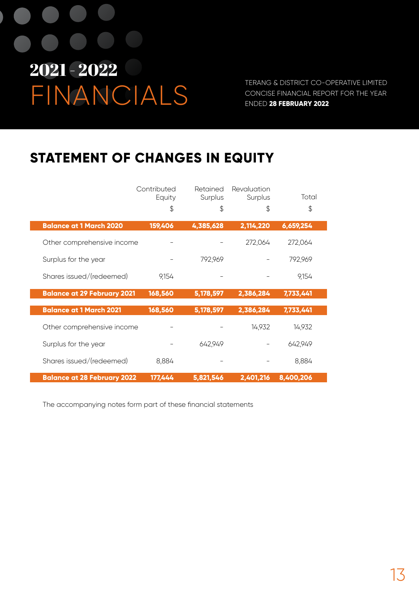TERANG & DISTRICT CO-OPERATIVE LIMITED CONCISE FINANCIAL REPORT FOR THE YEAR ENDED **28 FEBRUARY 2022**

## **STATEMENT OF CHANGES IN EQUITY**

|                                    | Contributed<br>Equity | Retained<br>Surplus | Revaluation<br>Surplus | Total     |
|------------------------------------|-----------------------|---------------------|------------------------|-----------|
|                                    | \$                    | \$                  | \$                     | \$        |
| <b>Balance at 1 March 2020</b>     | 159,406               | 4,385,628           | 2,114,220              | 6,659,254 |
| Other comprehensive income         |                       |                     | 272,064                | 272,064   |
| Surplus for the year               |                       | 792,969             |                        | 792,969   |
| Shares issued/(redeemed)           | 9,154                 |                     |                        | 9,154     |
| <b>Balance at 29 February 2021</b> | 168,560               | 5,178,597           | 2,386,284              | 7,733,441 |
| <b>Balance at 1 March 2021</b>     | 168,560               | 5,178,597           | 2,386,284              | 7,733,441 |
| Other comprehensive income         |                       |                     | 14,932                 | 14,932    |
| Surplus for the year               |                       | 642,949             |                        | 642,949   |
| Shares issued/(redeemed)           | 8,884                 |                     |                        | 8,884     |
| <b>Balance at 28 February 2022</b> | 177,444               | 5,821,546           | 2,401,216              | 8,400,206 |

The accompanying notes form part of these financial statements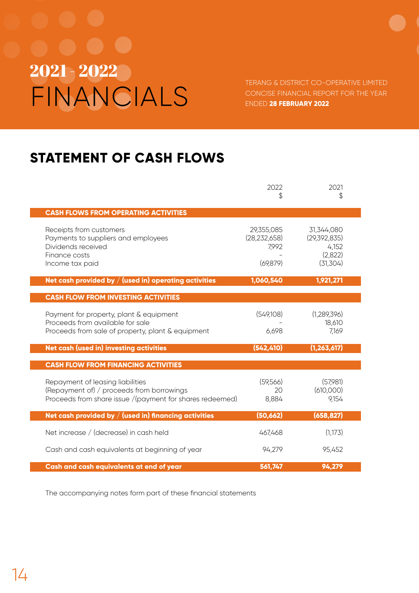TERANG & DISTRICT CO-OPERATIVE LIMITED CONCISE FINANCIAL REPORT FOR THE YEAR ENDED **28 FEBRUARY 2022**

## **STATEMENT OF CASH FLOWS**

|                                                                                                                                           | 2022<br>S                                          | 2021<br>\$                                                 |
|-------------------------------------------------------------------------------------------------------------------------------------------|----------------------------------------------------|------------------------------------------------------------|
| <b>CASH FLOWS FROM OPERATING ACTIVITIES</b>                                                                                               |                                                    |                                                            |
| Receipts from customers<br>Payments to suppliers and employees<br>Dividends received<br>Finance costs<br>Income tax paid                  | 29,355,085<br>(28, 232, 658)<br>7,992<br>(69, 879) | 31,344,080<br>(29,392,835)<br>4,152<br>(2,822)<br>(31,304) |
| Net cash provided by $/$ (used in) operating activities                                                                                   | 1,060,540                                          | 1,921,271                                                  |
| <b>CASH FLOW FROM INVESTING ACTIVITIES</b>                                                                                                |                                                    |                                                            |
| Payment for property, plant & equipment<br>Proceeds from available for sale<br>Proceeds from sale of property, plant & equipment          | (549,108)<br>6,698                                 | (1, 289, 396)<br>18,610<br>7,169                           |
| Net cash (used in) investing activities                                                                                                   | (542, 410)                                         | (1, 263, 617)                                              |
| <b>CASH FLOW FROM FINANCING ACTIVITIES</b>                                                                                                |                                                    |                                                            |
| Repayment of leasing liabilities<br>(Repayment of) / proceeds from borrowings<br>Proceeds from share issue /(payment for shares redeemed) | (59,566)<br>20<br>8,884                            | (57,981)<br>(610,000)<br>9,154                             |
| Net cash provided by $/$ (used in) financing activities                                                                                   | (50, 662)                                          | (658, 827)                                                 |
| Net increase / (decrease) in cash held                                                                                                    | 467,468                                            | (1,173)                                                    |
| Cash and cash equivalents at beginning of year                                                                                            | 94,279                                             | 95,452                                                     |
| Cash and cash equivalents at end of year                                                                                                  | 561,747                                            | 94,279                                                     |

The accompanying notes form part of these financial statements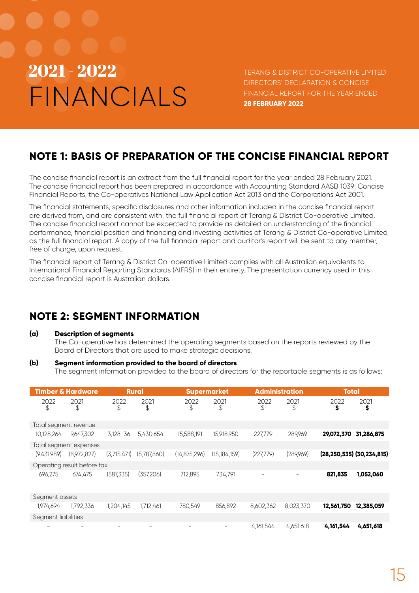# FINANCIALS  $2021$  –  $2022$  there a district co-operative limited

DIRECTORS' DECLARATION & CONCISE FINANCIAL REPORT FOR THE YEAR ENDED **28 FEBRUARY 2022**

## **NOTE 1: BASIS OF PREPARATION OF THE CONCISE FINANCIAL REPORT**

The concise financial report is an extract from the full financial report for the year ended 28 February 2021. The concise financial report has been prepared in accordance with Accounting Standard AASB 1039: Concise Financial Reports, the Co-operatives National Law Application Act 2013 and the Corporations Act 2001.

The financial statements, specific disclosures and other information included in the concise financial report are derived from, and are consistent with, the full financial report of Terang & District Co-operative Limited. The concise financial report cannot be expected to provide as detailed an understanding of the financial performance, financial position and financing and investing activities of Terang & District Co-operative Limited as the full financial report. A copy of the full financial report and auditor's report will be sent to any member, free of charge, upon request.

The financial report of Terang & District Co-operative Limited complies with all Australian equivalents to International Financial Reporting Standards (AIFRS) in their entirety. The presentation currency used in this concise financial report is Australian dollars.

## **NOTE 2: SEGMENT INFORMATION**

## **(a) Description of segments**

The Co-operative has determined the operating segments based on the reports reviewed by the Board of Directors that are used to make strategic decisions.

## **(b) Segment information provided to the board of directors**

The segment information provided to the board of directors for the reportable segments is as follows:

|                       | <b>Timber &amp; Hardware</b> | <b>Rural</b> |             | <b>Supermarket</b> |                | <b>Administration</b>    |            | <b>Total</b>                      |            |
|-----------------------|------------------------------|--------------|-------------|--------------------|----------------|--------------------------|------------|-----------------------------------|------------|
| 2022<br>\$            | 2021<br>\$                   | 2022<br>\$   | 2021<br>\$  | 2022<br>\$         | 2021<br>\$     | 2022<br>\$               | 2021<br>\$ | 2022<br>\$                        | 2021<br>\$ |
| Total segment revenue |                              |              |             |                    |                |                          |            |                                   |            |
| 10,128,264            | 9,647,302                    | 3,128,136    | 5,430,654   | 15,588,191         | 15,918,950     | 227,779                  | 289,969    | 29,072,370                        | 31,286,875 |
|                       | Total segment expenses       |              |             |                    |                |                          |            |                                   |            |
| (9,431,989)           | (8,972,827)                  | (3,715,471)  | (5,787,860) | (14, 875, 296)     | (15, 184, 159) | (227,779)                | (289,969)  | $(28, 250, 535)$ $(30, 234, 815)$ |            |
|                       | Operating result before tax  |              |             |                    |                |                          |            |                                   |            |
| 696,275               | 674,475                      | (587,335)    | (357,206)   | 712,895            | 734,791        | $\overline{\phantom{m}}$ |            | 821,835                           | 1,052,060  |
| Segment assets        |                              |              |             |                    |                |                          |            |                                   |            |
| 1,974,694             | 1,792,336                    | 1,204,145    | 1,712,461   | 780,549            | 856,892        | 8,602,362                | 8,023,370  | 12,561,750                        | 12,385,059 |
| Segment liabilities   |                              |              |             |                    |                |                          |            |                                   |            |
|                       |                              |              | -           | $\qquad \qquad -$  |                | 4,161,544                | 4,651,618  | 4,161,544                         | 4,651,618  |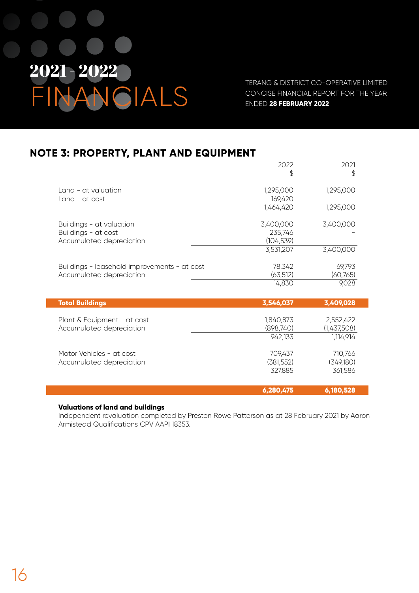

TERANG & DISTRICT CO-OPERATIVE LIMITED CONCISE FINANCIAL REPORT FOR THE YEAR ENDED **28 FEBRUARY 2022**

## **NOTE 3: PROPERTY, PLANT AND EQUIPMENT**

|                                              | 2022       | 2021        |
|----------------------------------------------|------------|-------------|
|                                              | \$         | \$          |
| Land - at valuation                          | 1,295,000  | 1,295,000   |
| Land - at cost                               | 169,420    |             |
|                                              | 1,464,420  | 1,295,000   |
|                                              |            |             |
| Buildings - at valuation                     | 3,400,000  | 3,400,000   |
| Buildings - at cost                          | 235,746    |             |
| Accumulated depreciation                     | (104, 539) |             |
|                                              | 3,531,207  | 3,400,000   |
| Buildings - leasehold improvements - at cost | 78,342     | 69,793      |
| Accumulated depreciation                     | (63, 512)  | (60,765)    |
|                                              | 14,830     | 9,028       |
|                                              |            |             |
| <b>Total Buildings</b>                       | 3,546,037  | 3,409,028   |
| Plant & Equipment - at cost                  | 1,840,873  | 2,552,422   |
| Accumulated depreciation                     | (898,740)  | (1,437,508) |
|                                              | 942,133    | 1,114,914   |
|                                              |            |             |
| Motor Vehicles - at cost                     | 709,437    | 710,766     |
| Accumulated depreciation                     | (381, 552) | (349,180)   |
|                                              | 327,885    | 361,586     |
|                                              | 6,280,475  | 6,180,528   |

## **Valuations of land and buildings**

Independent revaluation completed by Preston Rowe Patterson as at 28 February 2021 by Aaron Armistead Qualifications CPV AAPI 18353.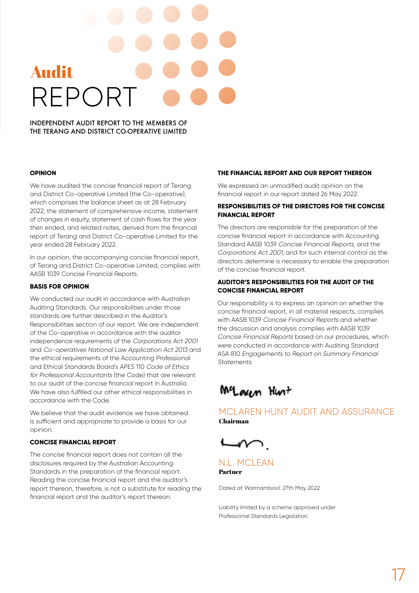# REPOR Audit

INDEPENDENT AUDIT REPORT TO THE MEMBERS OF THE TERANG AND DISTRICT CO-OPERATIVE LIMITED

#### **OPINION**

We have audited the concise financial report of Terang and District Co-operative Limited (the Co-operative), which comprises the balance sheet as at 28 February 2022, the statement of comprehensive income, statement of changes in equity, statement of cash flows for the year then ended, and related notes, derived from the financial report of Terang and District Co-operative Limited for the year ended 28 February 2022.

In our opinion, the accompanying concise financial report, of Terang and District Co-operative Limited, complies with AASB 1039 Concise Financial Reports.

#### **BASIS FOR OPINION**

We conducted our audit in accordance with Australian Auditing Standards. Our responsibilities under those standards are further described in the Auditor's Responsibilities section of our report. We are independent of the Co-operative in accordance with the auditor independence requirements of the Corporations Act 2001 and Co-operatives National Law Application Act 2013 and the ethical requirements of the Accounting Professional and Ethical Standards Board's APES 110 Code of Ethics for Professional Accountants (the Code) that are relevant to our audit of the concise financial report in Australia. We have also fulfilled our other ethical responsibilities in accordance with the Code.

We believe that the audit evidence we have obtained is sufficient and appropriate to provide a basis for our opinion.

## **CONCISE FINANCIAL REPORT**

The concise financial report does not contain all the disclosures required by the Australian Accounting Standards in the preparation of the financial report. Reading the concise financial report and the auditor's report thereon, therefore, is not a substitute for reading the financial report and the auditor's report thereon.

#### **THE FINANCIAL REPORT AND OUR REPORT THEREON**

We expressed an unmodified audit opinion on the financial report in our report dated 26 May 2022.

## **RESPONSIBILITIES OF THE DIRECTORS FOR THE CONCISE FINANCIAL REPORT**

The directors are responsible for the preparation of the concise financial report in accordance with Accounting Standard AASB 1039 Concise Financial Reports, and the Corporations Act 2001, and for such internal control as the directors determine is necessary to enable the preparation of the concise financial report.

## **AUDITOR'S RESPONSIBILITIES FOR THE AUDIT OF THE CONCISE FINANCIAL REPORT**

Our responsibility is to express an opinion on whether the concise financial report, in all material respects, complies with AASB 1039 Concise Financial Reports and whether the discussion and analysis complies with AASB 1039 Concise Financial Reports based on our procedures, which were conducted in accordance with Auditing Standard ASA 810 Engagements to Report on Summary Financial Statements.

Maren Hust

## MCLAREN HUNT AUDIT AND ASSURANCE Chairman



## N.L. MCLEAN Partner

Dated at Warrnambool: 27th May 2022

Liability limited by a scheme approved under Professional Standards Legislation.